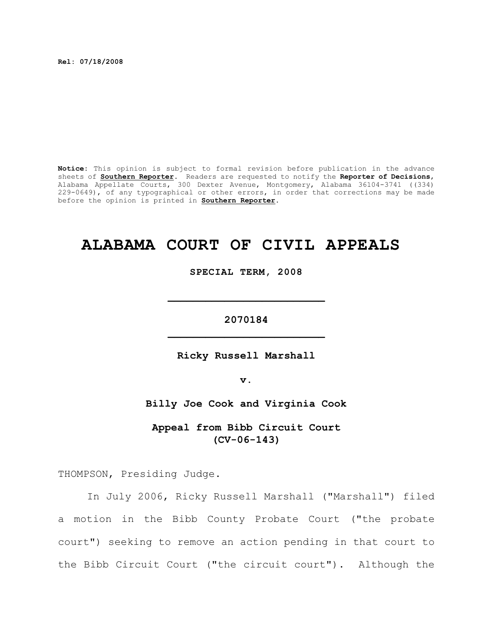**Rel: 07/18/2008** 

**Notice:** This opinion is subject to formal revision before publication in the advance sheets of **Southern Reporter**. Readers are requested to notify the **Reporter of Decisions**, Alabama Appellate Courts, 300 Dexter Avenue, Montgomery, Alabama 36104-3741 ((334) 229-0649), of any typographical or other errors, in order that corrections may be made before the opinion is printed in **Southern Reporter**.

# **ALABAMA COURT OF CIVIL APPEALS**

**SPECIAL TERM, 2008**

**2070184 \_\_\_\_\_\_\_\_\_\_\_\_\_\_\_\_\_\_\_\_\_\_\_\_\_**

**\_\_\_\_\_\_\_\_\_\_\_\_\_\_\_\_\_\_\_\_\_\_\_\_\_**

**Ricky Russell Marshall**

**v.**

**Billy Joe Cook and Virginia Cook**

**Appeal from Bibb Circuit Court (CV-06-143)**

THOMPSON, Presiding Judge.

In July 2006, Ricky Russell Marshall ("Marshall") filed a motion in the Bibb County Probate Court ("the probate court") seeking to remove an action pending in that court to the Bibb Circuit Court ("the circuit court"). Although the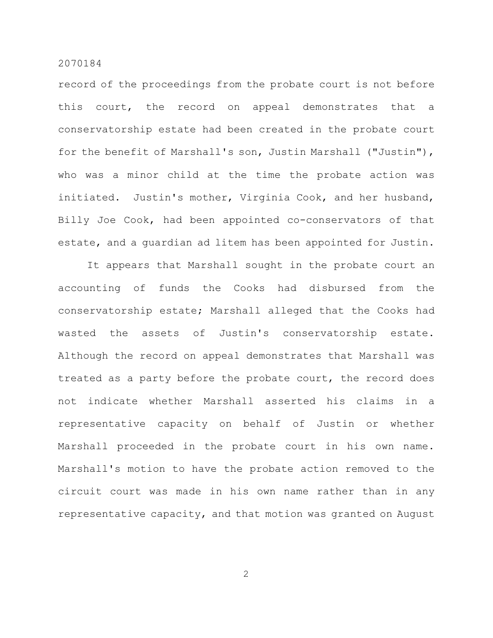record of the proceedings from the probate court is not before this court, the record on appeal demonstrates that a conservatorship estate had been created in the probate court for the benefit of Marshall's son, Justin Marshall ("Justin"), who was a minor child at the time the probate action was initiated. Justin's mother, Virginia Cook, and her husband, Billy Joe Cook, had been appointed co-conservators of that estate, and a guardian ad litem has been appointed for Justin.

It appears that Marshall sought in the probate court an accounting of funds the Cooks had disbursed from the conservatorship estate; Marshall alleged that the Cooks had wasted the assets of Justin's conservatorship estate. Although the record on appeal demonstrates that Marshall was treated as a party before the probate court, the record does not indicate whether Marshall asserted his claims in a representative capacity on behalf of Justin or whether Marshall proceeded in the probate court in his own name. Marshall's motion to have the probate action removed to the circuit court was made in his own name rather than in any representative capacity, and that motion was granted on August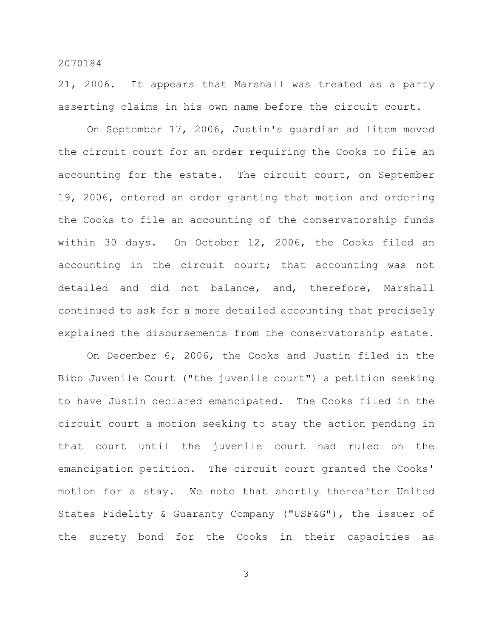21, 2006. It appears that Marshall was treated as a party asserting claims in his own name before the circuit court.

On September 17, 2006, Justin's guardian ad litem moved the circuit court for an order requiring the Cooks to file an accounting for the estate. The circuit court, on September 19, 2006, entered an order granting that motion and ordering the Cooks to file an accounting of the conservatorship funds within 30 days. On October 12, 2006, the Cooks filed an accounting in the circuit court; that accounting was not detailed and did not balance, and, therefore, Marshall continued to ask for a more detailed accounting that precisely explained the disbursements from the conservatorship estate.

On December 6, 2006, the Cooks and Justin filed in the Bibb Juvenile Court ("the juvenile court") a petition seeking to have Justin declared emancipated. The Cooks filed in the circuit court a motion seeking to stay the action pending in that court until the juvenile court had ruled on the emancipation petition. The circuit court granted the Cooks' motion for a stay. We note that shortly thereafter United States Fidelity & Guaranty Company ("USF&G"), the issuer of the surety bond for the Cooks in their capacities as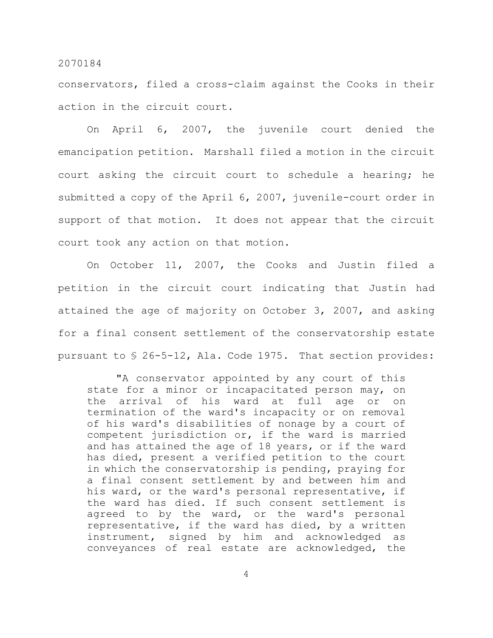conservators, filed a cross-claim against the Cooks in their action in the circuit court.

On April 6, 2007, the juvenile court denied the emancipation petition. Marshall filed a motion in the circuit court asking the circuit court to schedule a hearing; he submitted a copy of the April 6, 2007, juvenile-court order in support of that motion. It does not appear that the circuit court took any action on that motion.

On October 11, 2007, the Cooks and Justin filed a petition in the circuit court indicating that Justin had attained the age of majority on October 3, 2007, and asking for a final consent settlement of the conservatorship estate pursuant to § 26-5-12, Ala. Code 1975. That section provides:

"A conservator appointed by any court of this state for a minor or incapacitated person may, on the arrival of his ward at full age or on termination of the ward's incapacity or on removal of his ward's disabilities of nonage by a court of competent jurisdiction or, if the ward is married and has attained the age of 18 years, or if the ward has died, present a verified petition to the court in which the conservatorship is pending, praying for a final consent settlement by and between him and his ward, or the ward's personal representative, if the ward has died. If such consent settlement is agreed to by the ward, or the ward's personal representative, if the ward has died, by a written instrument, signed by him and acknowledged as conveyances of real estate are acknowledged, the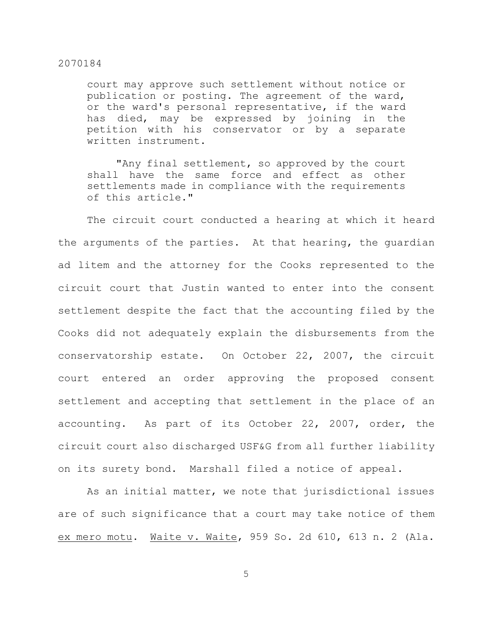court may approve such settlement without notice or publication or posting. The agreement of the ward, or the ward's personal representative, if the ward has died, may be expressed by joining in the petition with his conservator or by a separate written instrument.

"Any final settlement, so approved by the court shall have the same force and effect as other settlements made in compliance with the requirements of this article."

The circuit court conducted a hearing at which it heard the arguments of the parties. At that hearing, the guardian ad litem and the attorney for the Cooks represented to the circuit court that Justin wanted to enter into the consent settlement despite the fact that the accounting filed by the Cooks did not adequately explain the disbursements from the conservatorship estate. On October 22, 2007, the circuit court entered an order approving the proposed consent settlement and accepting that settlement in the place of an accounting. As part of its October 22, 2007, order, the circuit court also discharged USF&G from all further liability on its surety bond. Marshall filed a notice of appeal.

As an initial matter, we note that jurisdictional issues are of such significance that a court may take notice of them ex mero motu. Waite v. Waite, 959 So. 2d 610, 613 n. 2 (Ala.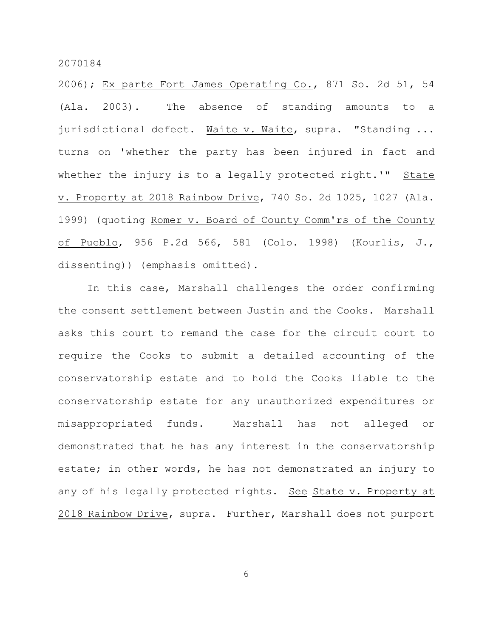2006); Ex parte Fort James Operating Co., 871 So. 2d 51, 54 (Ala. 2003). The absence of standing amounts to a jurisdictional defect. Waite v. Waite, supra. "Standing ... turns on 'whether the party has been injured in fact and whether the injury is to a legally protected right.'" State v. Property at 2018 Rainbow Drive, 740 So. 2d 1025, 1027 (Ala. 1999) (quoting Romer v. Board of County Comm'rs of the County of Pueblo, 956 P.2d 566, 581 (Colo. 1998) (Kourlis, J., dissenting)) (emphasis omitted).

In this case, Marshall challenges the order confirming the consent settlement between Justin and the Cooks. Marshall asks this court to remand the case for the circuit court to require the Cooks to submit a detailed accounting of the conservatorship estate and to hold the Cooks liable to the conservatorship estate for any unauthorized expenditures or misappropriated funds. Marshall has not alleged or demonstrated that he has any interest in the conservatorship estate; in other words, he has not demonstrated an injury to any of his legally protected rights. See State v. Property at 2018 Rainbow Drive, supra. Further, Marshall does not purport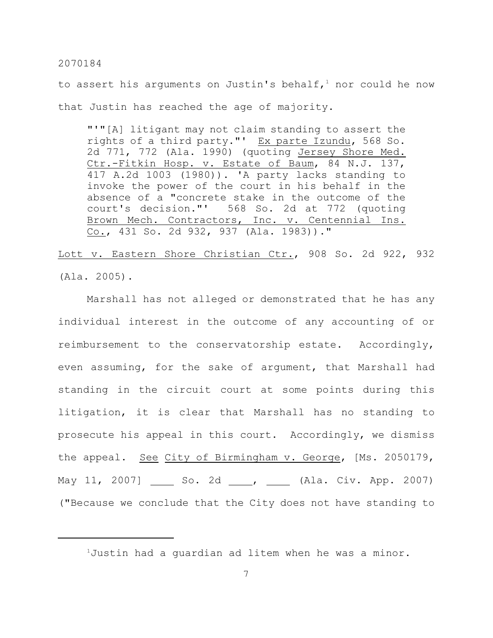to assert his arguments on Justin's behalf,<sup>1</sup> nor could he now that Justin has reached the age of majority.

"'"[A] litigant may not claim standing to assert the rights of a third party."' Ex parte Izundu, 568 So. 2d 771, 772 (Ala. 1990) (quoting Jersey Shore Med. Ctr.-Fitkin Hosp. v. Estate of Baum, 84 N.J. 137, 417 A.2d 1003 (1980)). 'A party lacks standing to invoke the power of the court in his behalf in the absence of a "concrete stake in the outcome of the court's decision."' 568 So. 2d at 772 (quoting Brown Mech. Contractors, Inc. v. Centennial Ins. Co., 431 So. 2d 932, 937 (Ala. 1983))."

Lott v. Eastern Shore Christian Ctr., 908 So. 2d 922, 932 (Ala. 2005).

Marshall has not alleged or demonstrated that he has any individual interest in the outcome of any accounting of or reimbursement to the conservatorship estate. Accordingly, even assuming, for the sake of argument, that Marshall had standing in the circuit court at some points during this litigation, it is clear that Marshall has no standing to prosecute his appeal in this court. Accordingly, we dismiss the appeal. See City of Birmingham v. George, [Ms. 2050179, May 11, 2007] \_\_\_\_\_ So. 2d \_\_\_\_, \_\_\_\_\_ (Ala. Civ. App. 2007) ("Because we conclude that the City does not have standing to

 $1$ Justin had a guardian ad litem when he was a minor.